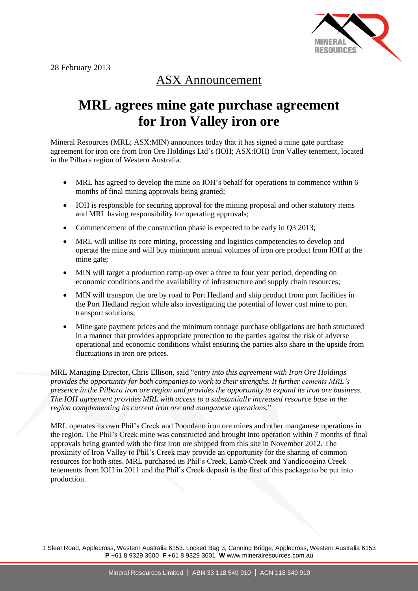

## ASX Announcement

## **MRL agrees mine gate purchase agreement for Iron Valley iron ore**

Mineral Resources (MRL; ASX:MIN) announces today that it has signed a mine gate purchase agreement for iron ore from Iron Ore Holdings Ltd's (IOH; ASX:IOH) Iron Valley tenement, located in the Pilbara region of Western Australia.

- MRL has agreed to develop the mine on IOH's behalf for operations to commence within 6 months of final mining approvals being granted;
- IOH is responsible for securing approval for the mining proposal and other statutory items and MRL having responsibility for operating approvals;
- Commencement of the construction phase is expected to be early in O3 2013;
- MRL will utilise its core mining, processing and logistics competencies to develop and operate the mine and will buy minimum annual volumes of iron ore product from IOH at the mine gate;
- MIN will target a production ramp-up over a three to four year period, depending on economic conditions and the availability of infrastructure and supply chain resources;
- MIN will transport the ore by road to Port Hedland and ship product from port facilities in the Port Hedland region while also investigating the potential of lower cost mine to port transport solutions;
- Mine gate payment prices and the minimum tonnage purchase obligations are both structured in a manner that provides appropriate protection to the parties against the risk of adverse operational and economic conditions whilst ensuring the parties also share in the upside from fluctuations in iron ore prices.

MRL Managing Director, Chris Ellison, said "*entry into this agreement with Iron Ore Holdings provides the opportunity for both companies to work to their strengths. It further cements MRL's presence in the Pilbara iron ore region and provides the opportunity to expand its iron ore business. The IOH agreement provides MRL with access to a substantially increased resource base in the region complementing its current iron ore and manganese operations.*"

MRL operates its own Phil's Creek and Poondano iron ore mines and other manganese operations in the region. The Phil's Creek mine was constructed and brought into operation within 7 months of final approvals being granted with the first iron ore shipped from this site in November 2012. The proximity of Iron Valley to Phil's Creek may provide an opportunity for the sharing of common resources for both sites. MRL purchased its Phil's Creek, Lamb Creek and Yandicoogina Creek tenements from IOH in 2011 and the Phil's Creek deposit is the first of this package to be put into production.

1 Sleat Road, Applecross, Western Australia 6153. Locked Bag 3, Canning Bridge, Applecross, Western Australia 6153 **P** +61 8 9329 3600 **F** +61 8 9329 3601 **W** www.mineralresources.com.au